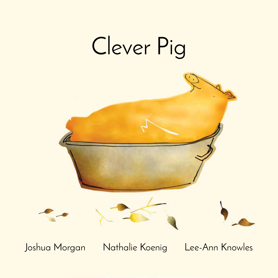

Joshua Morgan Nathalie Koenig Lee-Ann Knowles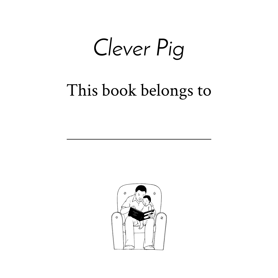## Clever Pig

#### This book belongs to

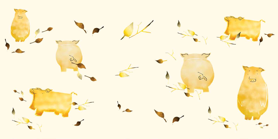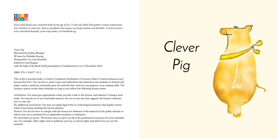*Clever Pig* Illustrated by Joshua Morgan Written by Nathalie Koenig Designed by Lee-Ann Knowles Edited by Carol Kagezi with the help of the Book Dash participants in Grahamstown on 12 November 2016.

ISBN: 978-1-928377-25-2

This work is licensed under a Creative Commons Attribution 4.0 Licence (http://creativecommons.org/ licenses/by/4.0/). You are free to share (copy and redistribute the material in any medium or format) and adapt (remix, transform, and build upon the material) this work for any purpose, even commercially. The licensor cannot revoke these freedoms as long as you follow the following license terms:

Attribution: You must give appropriate credit, provide a link to the license, and indicate if changes were made. You may do so in any reasonable manner, but not in any way that suggests the licensor endorses you or your use.

No additional restrictions: You may not apply legal terms or technological measures that legally restrict others from doing anything the license permits.

Notices: You do not have to comply with the license for elements of the material in the public domain or where your use is permitted by an applicable exception or limitation.

No warranties are given. The license may not give you all of the permissions necessary for your intended use. For example, other rights such as publicity, privacy, or moral rights may limit how you use the material.



*Every child should own a hundred books by the age of five. To that end, Book Dash gathers creative professionals who volunteer to create new, African storybooks that anyone can freely translate and distribute. To find out more, and to download beautiful, print-ready books, visit [bookdash.org.](http://bookdash.org)*

> Clever Pig

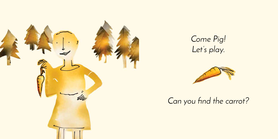

Come Pig! Let's play.



Can you find the carrot?

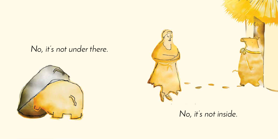#### No, it's not under there.





No, it's not inside.

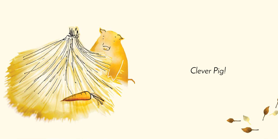

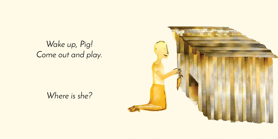#### Wake up, Pig! Come out and play.

#### Where is she?

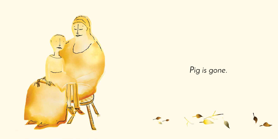







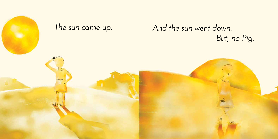

## The sun came up. And the sun went down. But, no Pig.

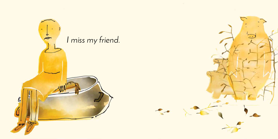

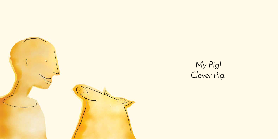

### My Pig! Clever Pig.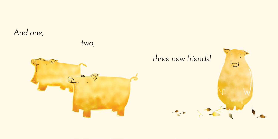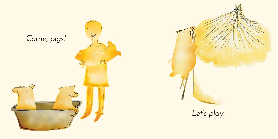

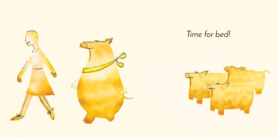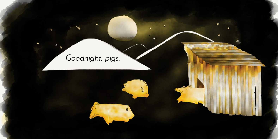# Goodnight, pigs.

 $\mathcal{L}$ 

外

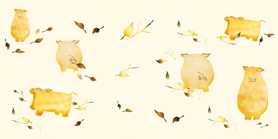